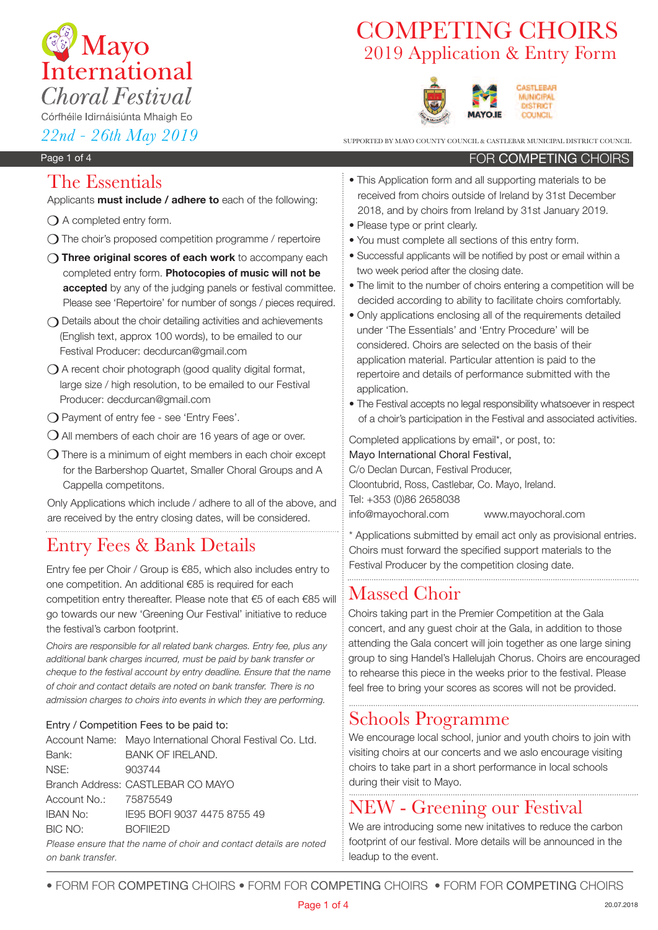

# 2019 Application & Entry Form COMPETING CHOIRS



 $22n$ d<sup>2</sup> -  $26th$  *May* 2019

FOR COMPETING CHOIRS

#### Page 1 of 4

## The Essentials

Applicants **must include / adhere to** each of the following:

- $\bigcirc$  A completed entry form.
- $\Omega$  The choir's proposed competition programme / repertoire
- m **Three original scores of each work** to accompany each completed entry form. **Photocopies of music will not be accepted** by any of the judging panels or festival committee. Please see 'Repertoire' for number of songs / pieces required.
- $\bigcap$  Details about the choir detailing activities and achievements (English text, approx 100 words), to be emailed to our Festival Producer: decdurcan@gmail.com
- $\bigcirc$  A recent choir photograph (good quality digital format, large size / high resolution, to be emailed to our Festival Producer: decdurcan@gmail.com
- **O** Payment of entry fee see 'Entry Fees'.
- $\bigcirc$  All members of each choir are 16 years of age or over.
- $\Omega$  There is a minimum of eight members in each choir except for the Barbershop Quartet, Smaller Choral Groups and A Cappella competitons.

Only Applications which include / adhere to all of the above, and are received by the entry closing dates, will be considered.

## Entry Fees & Bank Details

Entry fee per Choir / Group is €85, which also includes entry to one competition. An additional €85 is required for each competition entry thereafter. Please note that €5 of each €85 will go towards our new 'Greening Our Festival' initiative to reduce the festival's carbon footprint.

*Choirs are responsible for all related bank charges. Entry fee, plus any additional bank charges incurred, must be paid by bank transfer or cheque to the festival account by entry deadline. Ensure that the name of choir and contact details are noted on bank transfer. There is no admission charges to choirs into events in which they are performing.*

#### Entry / Competition Fees to be paid to:

|                       | Account Name: Mayo International Choral Festival Co. Ltd.         |
|-----------------------|-------------------------------------------------------------------|
| Bank:                 | <b>BANK OF IRELAND.</b>                                           |
| NSE:                  | 903744                                                            |
|                       | Branch Address: CASTLEBAR CO MAYO                                 |
| Account No.: 75875549 |                                                                   |
| <b>IBAN No:</b>       | IE95 BOFI 9037 4475 8755 49                                       |
| BIC NO:               | BOFIE <sub>2</sub> D                                              |
|                       | Please ensure that the name of choir and contact details are note |

Please ensure that the name of choir and contact details are noted on bank transfer.

- This Application form and all supporting materials to be received from choirs outside of Ireland by 31st December 2018, and by choirs from Ireland by 31st January 2019.
- Please type or print clearly.
- You must complete all sections of this entry form.
- Successful applicants will be notified by post or email within a two week period after the closing date.
- The limit to the number of choirs entering a competition will be decided according to ability to facilitate choirs comfortably.
- Only applications enclosing all of the requirements detailed under 'The Essentials' and 'Entry Procedure' will be considered. Choirs are selected on the basis of their application material. Particular attention is paid to the repertoire and details of performance submitted with the application.
- The Festival accepts no legal responsibility whatsoever in respect of a choir's participation in the Festival and associated activities.

Completed applications by email\*, or post, to:

Mayo International Choral Festival, C/o Declan Durcan, Festival Producer, Cloontubrid, Ross, Castlebar, Co. Mayo, Ireland. Tel: +353 (0)86 2658038 info@mayochoral.com www.mayochoral.com

\* Applications submitted by email act only as provisional entries. Choirs must forward the specified support materials to the Festival Producer by the competition closing date.

## Massed Choir

Choirs taking part in the Premier Competition at the Gala concert, and any guest choir at the Gala, in addition to those attending the Gala concert will join together as one large sining group to sing Handel's Hallelujah Chorus. Choirs are encouraged to rehearse this piece in the weeks prior to the festival. Please feel free to bring your scores as scores will not be provided.

## Schools Programme

We encourage local school, junior and youth choirs to join with visiting choirs at our concerts and we aslo encourage visiting choirs to take part in a short performance in local schools during their visit to Mayo.

## NEW - Greening our Festival

We are introducing some new initatives to reduce the carbon footprint of our festival. More details will be announced in the leadup to the event.

• FORM FOR ComPEting CHOIRS • FORM FOR ComPEting CHOIRS • FORM FOR ComPEting CHOIRS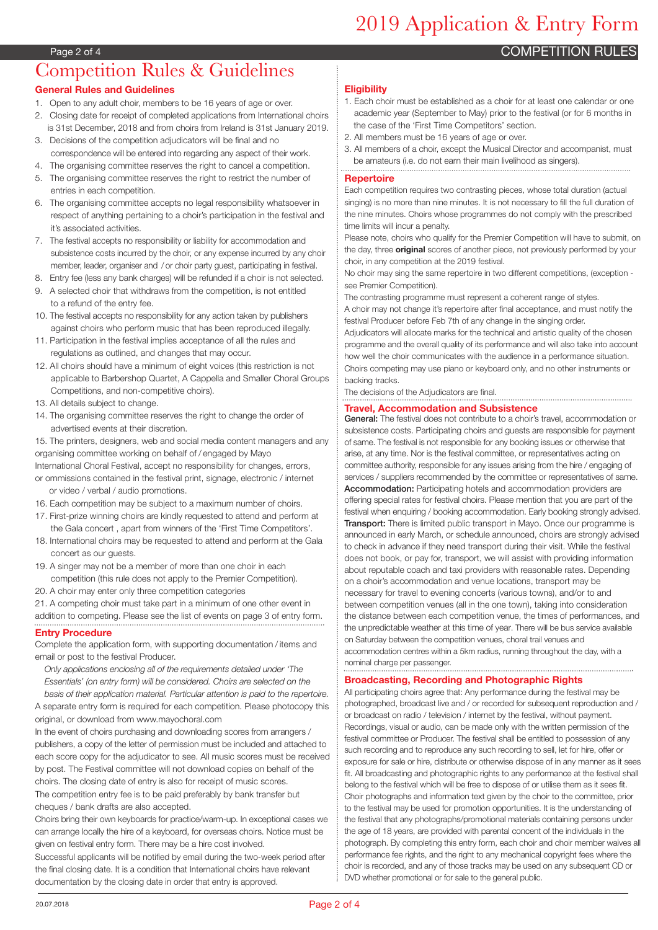# 2019 Application & Entry Form

**COMPETITION RULES** 

#### Page 2 of 4

### Competition Rules & Guidelines **General Rules and Guidelines**

- 1. Open to any adult choir, members to be 16 years of age or over.
- 2. Closing date for receipt of completed applications from International choirs is 31st December, 2018 and from choirs from Ireland is 31st January 2019.
- 3. Decisions of the competition adjudicators will be final and no correspondence will be entered into regarding any aspect of their work.
- 4. The organising committee reserves the right to cancel a competition.
- 5. The organising committee reserves the right to restrict the number of entries in each competition.
- 6. The organising committee accepts no legal responsibility whatsoever in respect of anything pertaining to a choir's participation in the festival and it's associated activities.
- 7. The festival accepts no responsibility or liability for accommodation and subsistence costs incurred by the choir, or any expense incurred by any choir member, leader, organiser and / or choir party guest, participating in festival.
- 8. Entry fee (less any bank charges) will be refunded if a choir is not selected.
- 9. A selected choir that withdraws from the competition, is not entitled to a refund of the entry fee.
- 10. The festival accepts no responsibility for any action taken by publishers against choirs who perform music that has been reproduced illegally.
- 11. Participation in the festival implies acceptance of all the rules and regulations as outlined, and changes that may occur.
- 12. All choirs should have a minimum of eight voices (this restriction is not applicable to Barbershop Quartet, A Cappella and Smaller Choral Groups Competitions, and non-competitive choirs).
- 13. All details subject to change.
- 14. The organising committee reserves the right to change the order of advertised events at their discretion.

15. The printers, designers, web and social media content managers and any organising committee working on behalf of / engaged by Mayo

- International Choral Festival, accept no responsibility for changes, errors, or ommissions contained in the festival print, signage, electronic / internet
- or video / verbal / audio promotions. 16. Each competition may be subject to a maximum number of choirs.
- 17. First-prize winning choirs are kindly requested to attend and perform at
- the Gala concert , apart from winners of the 'First Time Competitors'.
- 18. International choirs may be requested to attend and perform at the Gala concert as our quests.
- 19. A singer may not be a member of more than one choir in each competition (this rule does not apply to the Premier Competition).
- 20. A choir may enter only three competition categories
- 21. A competing choir must take part in a minimum of one other event in addition to competing. Please see the list of events on page 3 of entry form.

#### **Entry Procedure**

Complete the application form, with supporting documentation / items and email or post to the festival Producer.

*Only applications enclosing all of the requirements detailed under 'The Essentials' (on entry form) will be considered. Choirs are selected on the basis of their application material. Particular attention is paid to the repertoire.*

A separate entry form is required for each competition. Please photocopy this original, or download from www.mayochoral.com

In the event of choirs purchasing and downloading scores from arrangers / publishers, a copy of the letter of permission must be included and attached to each score copy for the adjudicator to see. All music scores must be received by post. The Festival committee will not download copies on behalf of the choirs. The closing date of entry is also for receipt of music scores. The competition entry fee is to be paid preferably by bank transfer but cheques / bank drafts are also accepted.

Choirs bring their own keyboards for practice/warm-up. In exceptional cases we can arrange locally the hire of a keyboard, for overseas choirs. Notice must be given on festival entry form. There may be a hire cost involved.

Successful applicants will be notified by email during the two-week period after the final closing date. It is a condition that International choirs have relevant documentation by the closing date in order that entry is approved.

#### **Eligibility**

- 1. Each choir must be established as a choir for at least one calendar or one academic year (September to May) prior to the festival (or for 6 months in the case of the 'First Time Competitors' section.
- 2. All members must be 16 years of age or over.
- 3. All members of a choir, except the Musical Director and accompanist, must be amateurs (i.e. do not earn their main livelihood as singers).

#### **Repertoire**

Each competition requires two contrasting pieces, whose total duration (actual singing) is no more than nine minutes. It is not necessary to fill the full duration of the nine minutes. Choirs whose programmes do not comply with the prescribed time limits will incur a penalty.

Please note, choirs who qualify for the Premier Competition will have to submit, on the day, three **original** scores of another piece, not previously performed by your choir, in any competition at the 2019 festival.

No choir may sing the same repertoire in two different competitions, (exception see Premier Competition).

The contrasting programme must represent a coherent range of styles. A choir may not change it's repertoire after final acceptance, and must notify the festival Producer before Feb 7th of any change in the singing order.

Adjudicators will allocate marks for the technical and artistic quality of the chosen programme and the overall quality of its performance and will also take into account how well the choir communicates with the audience in a performance situation. Choirs competing may use piano or keyboard only, and no other instruments or backing tracks.

The decisions of the Adjudicators are final.

#### **Travel, Accommodation and Subsistence**

General: The festival does not contribute to a choir's travel, accommodation or subsistence costs. Participating choirs and guests are responsible for payment of same. The festival is not responsible for any booking issues or otherwise that arise, at any time. Nor is the festival committee, or representatives acting on committee authority, responsible for any issues arising from the hire / engaging of services / suppliers recommended by the committee or representatives of same. Accommodation: Participating hotels and accommodation providers are offering special rates for festival choirs. Please mention that you are part of the festival when enquiring / booking accommodation. Early booking strongly advised. Transport: There is limited public transport in Mayo. Once our programme is announced in early March, or schedule announced, choirs are strongly advised to check in advance if they need transport during their visit. While the festival does not book, or pay for, transport, we will assist with providing information about reputable coach and taxi providers with reasonable rates. Depending on a choir's accommodation and venue locations, transport may be necessary for travel to evening concerts (various towns), and/or to and between competition venues (all in the one town), taking into consideration the distance between each competition venue, the times of performances, and the unpredictable weather at this time of year. There will be bus service available on Saturday between the competition venues, choral trail venues and accommodation centres within a 5km radius, running throughout the day, with a nominal charge per passenger.

#### **Broadcasting, Recording and Photographic Rights**

All participating choirs agree that: Any performance during the festival may be photographed, broadcast live and / or recorded for subsequent reproduction and / or broadcast on radio / television / internet by the festival, without payment. Recordings, visual or audio, can be made only with the written permission of the festival committee or Producer. The festival shall be entitled to possession of any such recording and to reproduce any such recording to sell, let for hire, offer or exposure for sale or hire, distribute or otherwise dispose of in any manner as it sees fit. All broadcasting and photographic rights to any performance at the festival shall belong to the festival which will be free to dispose of or utilise them as it sees fit. Choir photographs and information text given by the choir to the committee, prior to the festival may be used for promotion opportunities. It is the understanding of the festival that any photographs/promotional materials containing persons under the age of 18 years, are provided with parental concent of the individuals in the photograph. By completing this entry form, each choir and choir member waives all performance fee rights, and the right to any mechanical copyright fees where the choir is recorded, and any of those tracks may be used on any subsequent CD or DVD whether promotional or for sale to the general public.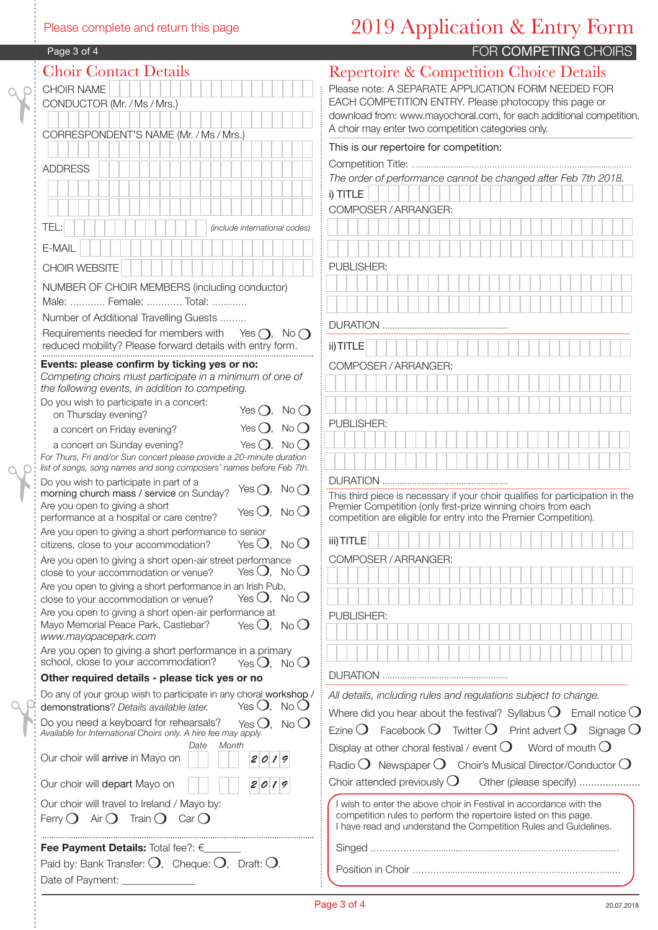#### Please complete and return this page

# 2019 Application & Entry Form

| Page 3 of 4 |  |
|-------------|--|
|-------------|--|

| Page 3 of 4                                                                                                                                  |                      |
|----------------------------------------------------------------------------------------------------------------------------------------------|----------------------|
| <b>Choir Contact Details</b>                                                                                                                 | Repe                 |
| CHOIR NAME                                                                                                                                   | Please i             |
| CONDUCTOR (Mr. / Ms / Mrs.)                                                                                                                  | EACH O               |
|                                                                                                                                              | downloa<br>A choir i |
| CORRESPONDENT'S NAME (Mr. / Ms / Mrs.)                                                                                                       | This is              |
|                                                                                                                                              | Compe                |
| <b>ADDRESS</b>                                                                                                                               | The ord              |
|                                                                                                                                              | i) TITLE             |
|                                                                                                                                              | <b>COMPO</b>         |
| TEL:<br>(include international codes)                                                                                                        |                      |
| E-MAIL                                                                                                                                       |                      |
|                                                                                                                                              | <b>PUBLIS</b>        |
| CHOIR WEBSITE                                                                                                                                |                      |
| NUMBER OF CHOIR MEMBERS (including conductor)<br>Male:  Female:  Total:                                                                      |                      |
| Number of Additional Travelling Guests                                                                                                       |                      |
| Requirements needed for members with Yes $\bigcap$ ,<br>$No$ $\bigcap$                                                                       | <b>DURATI</b>        |
| reduced mobility? Please forward details with entry form.                                                                                    | ii) TITLE            |
| Events: please confirm by ticking yes or no:                                                                                                 | <b>COMPO</b>         |
| Competing choirs must participate in a minimum of one of                                                                                     |                      |
| the following events, in addition to competing.<br>Do you wish to participate in a concert:                                                  |                      |
| Yes $\bigcirc$ , No $\bigcirc$<br>on Thursday evening?                                                                                       |                      |
| Yes $\bigcirc$ ,<br>$No$ $O$<br>a concert on Friday evening?                                                                                 | <b>PUBLIS</b>        |
| $No$ $O$<br>Yes $()$ ,<br>a concert on Sunday evening?                                                                                       |                      |
| For Thurs, Fri and/or Sun concert please provide a 20-minute duration<br>list of songs, song names and song composers' names before Feb 7th. |                      |
| Do you wish to participate in part of a                                                                                                      | <b>DURATI</b>        |
| Yes $\bigcirc$ ,<br>$No$ $O$<br>morning church mass / service on Sunday?                                                                     | This thin            |
| Are you open to giving a short<br>Yes $O$ , No $O$<br>performance at a hospital or care centre?                                              | Premier<br>competi   |
| Are you open to giving a short performance to senior                                                                                         |                      |
| citizens, close to your accommodation? Yes $\bigcirc$ , No $\bigcirc$                                                                        | iii) TITLE           |
| Are you open to giving a short open-air street performance<br>Yes $O$ , No $O$<br>close to your accommodation or venue?                      | <b>COMPO</b>         |
| Are you open to giving a short performance in an Irish Pub,                                                                                  |                      |
| Yes $O$ , No $O$<br>close to your accommodation or venue?                                                                                    |                      |
| Are you open to giving a short open-air performance at<br>Mayo Memorial Peace Park, Castlebar?<br>Yes $O$ , No $O$                           | <b>PUBLIS</b>        |
| www.mayopacepark.com                                                                                                                         |                      |
| Are you open to giving a short performance in a primary                                                                                      |                      |
| school, close to your accommodation?<br>Yes $O$ , No $O$<br>Other required details - please tick yes or no                                   | <b>DURATI</b>        |
| Do any of your group wish to participate in any choral workshop /                                                                            | All detai            |
| Yes $O$ , No $O$<br>demonstrations? Details available later.                                                                                 | Where o              |
| Do you need a keyboard for rehearsals?<br>Yes $O$ , No $O$                                                                                   | Ezine C              |
| Available for International Choirs only. A hire fee may apply<br>Month<br>Date                                                               | Display              |
| Our choir will arrive in Mayo on<br>2019                                                                                                     | Radio <sup>(</sup>   |
|                                                                                                                                              | Choir at             |
| Our choir will depart Mayo on<br>2019                                                                                                        |                      |
| Our choir will travel to Ireland / Mayo by:                                                                                                  | I wish i<br>compe    |
| Ferry $O$ Air $O$ Train $O$ Car $O$                                                                                                          | I have               |
| Fee Payment Details: Total fee?: $\epsilon$                                                                                                  | Singer               |
| Paid by: Bank Transfer: $O$ , Cheque: $O$ , Draft: $O$ .                                                                                     |                      |
| Date of Payment:                                                                                                                             | Positio              |

### ertoire & Competition Choice Details note: A SEPARATE APPLICATION FORM NEEDED FOR COMPETITION ENTRY. Please photocopy this page or oad from: www.mayochoral.com, for each additional competition. r may enter two competition categories only. our repertoire for competition: Competition Title: ............................…………………………………….................…… *The order of performance cannot be changed after Feb 7th 2018.* FOR COMPETING CHOIRS

| $I)$ $I$ $I$ $I$ $L$ $E$ |
|--------------------------|
| COMPOSER / ARRANGER:     |
|                          |
|                          |
|                          |
| PUBLISHER:               |
|                          |
|                          |
|                          |
|                          |
| <b>DURATION</b><br>.     |
| ii) TITLE                |
| COMPOSER / ARRANGER:     |
|                          |
|                          |
|                          |
| PUBLISHER:               |
|                          |
|                          |
|                          |
|                          |

DURATION ...................................................

ird piece is necessary if your choir qualifies for participation in the er Competition (only first-prize winning choirs from each etition are eligible for entry into the Premier Competition).

| iii) TITLE                                                      |
|-----------------------------------------------------------------|
| COMPOSER / ARRANGER:                                            |
|                                                                 |
|                                                                 |
| <b>PUBLISHER:</b>                                               |
|                                                                 |
|                                                                 |
|                                                                 |
| <b>DURATION</b>                                                 |
| All details, including rules and regulations subject to change. |

| Where did you hear about the festival? Syllabus $O$ Email notice $O$                                                                                                                                       |
|------------------------------------------------------------------------------------------------------------------------------------------------------------------------------------------------------------|
| Ezine $O$ Facebook $O$ Twitter $O$ Print advert $O$ Signage $O$                                                                                                                                            |
| Display at other choral festival / event $O$ Word of mouth $O$                                                                                                                                             |
| Radio $O$ Newspaper $O$ Choir's Musical Director/Conductor $O$                                                                                                                                             |
| Choir attended previously $\bigcirc$ Other (please specify)                                                                                                                                                |
| I wish to enter the above choir in Festival in accordance with the<br>competition rules to perform the repertoire listed on this page.<br>I have read and understand the Competition Rules and Guidelines. |
|                                                                                                                                                                                                            |
|                                                                                                                                                                                                            |